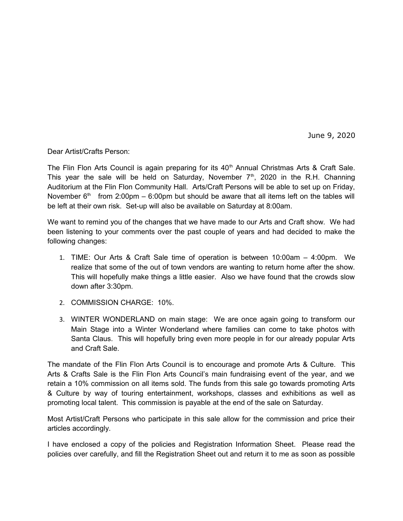June 9, 2020

Dear Artist/Crafts Person:

The Flin Flon Arts Council is again preparing for its  $40<sup>th</sup>$  Annual Christmas Arts & Craft Sale. This year the sale will be held on Saturday, November  $7<sup>th</sup>$ , 2020 in the R.H. Channing Auditorium at the Flin Flon Community Hall. Arts/Craft Persons will be able to set up on Friday, November  $6<sup>th</sup>$  from 2:00pm – 6:00pm but should be aware that all items left on the tables will be left at their own risk. Set-up will also be available on Saturday at 8:00am.

We want to remind you of the changes that we have made to our Arts and Craft show. We had been listening to your comments over the past couple of years and had decided to make the following changes:

- 1. TIME: Our Arts & Craft Sale time of operation is between 10:00am 4:00pm. We realize that some of the out of town vendors are wanting to return home after the show. This will hopefully make things a little easier. Also we have found that the crowds slow down after 3:30pm.
- 2. COMMISSION CHARGE: 10%.
- 3. WINTER WONDERLAND on main stage: We are once again going to transform our Main Stage into a Winter Wonderland where families can come to take photos with Santa Claus. This will hopefully bring even more people in for our already popular Arts and Craft Sale.

The mandate of the Flin Flon Arts Council is to encourage and promote Arts & Culture. This Arts & Crafts Sale is the Flin Flon Arts Council's main fundraising event of the year, and we retain a 10% commission on all items sold. The funds from this sale go towards promoting Arts & Culture by way of touring entertainment, workshops, classes and exhibitions as well as promoting local talent. This commission is payable at the end of the sale on Saturday.

Most Artist/Craft Persons who participate in this sale allow for the commission and price their articles accordingly.

I have enclosed a copy of the policies and Registration Information Sheet. Please read the policies over carefully, and fill the Registration Sheet out and return it to me as soon as possible